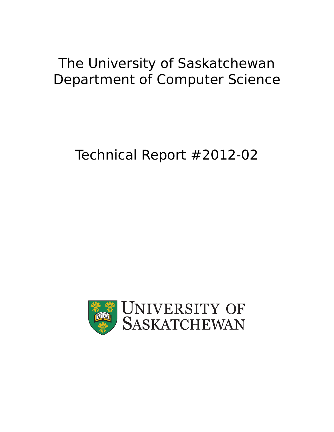## The University of Saskatchewan Department of Computer Science

# Technical Report #2012-02

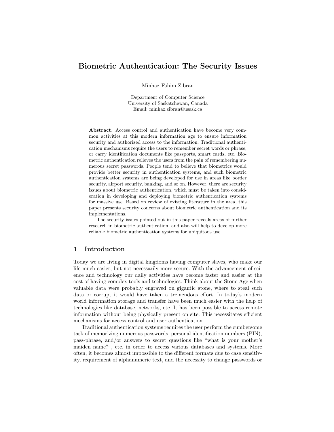## Biometric Authentication: The Security Issues

Minhaz Fahim Zibran

Department of Computer Science University of Saskatchewan, Canada Email: minhaz.zibran@usask.ca

Abstract. Access control and authentication have become very common activities at this modern information age to ensure information security and authorized access to the information. Traditional authentication mechanisms require the users to remember secret words or phrase, or carry identification documents like passports, smart cards, etc. Biometric authentication relieves the users from the pain of remembering numerous secret passwords. People tend to believe that biometrics would provide better security in authentication systems, and such biometric authentication systems are being developed for use in areas like border security, airport security, banking, and so on. However, there are security issues about biometric authentication, which must be taken into consideration in developing and deploying biometric authentication systems for massive use. Based on review of existing literature in the area, this paper presents security concerns about biometric authentication and its implementations.

The security issues pointed out in this paper reveals areas of further research in biometric authentication, and also will help to develop more reliable biometric authentication systems for ubiquitous use.

### 1 Introduction

Today we are living in digital kingdoms having computer slaves, who make our life much easier, but not necessarily more secure. With the advancement of science and technology our daily activities have become faster and easier at the cost of having complex tools and technologies. Think about the Stone Age when valuable data were probably engraved on gigantic stone, where to steal such data or corrupt it would have taken a tremendous effort. In today's modern world information storage and transfer have been much easier with the help of technologies like database, networks, etc. It has been possible to access remote information without being physically present on site. This necessitates efficient mechanisms for access control and user authentication.

Traditional authentication systems requires the user perform the cumbersome task of memorizing numerous passwords, personal identification numbers (PIN), pass-phrase, and/or answers to secret questions like "what is your mother's maiden name?", etc. in order to access various databases and systems. More often, it becomes almost impossible to the different formats due to case sensitivity, requirement of alphanumeric text, and the necessity to change passwords or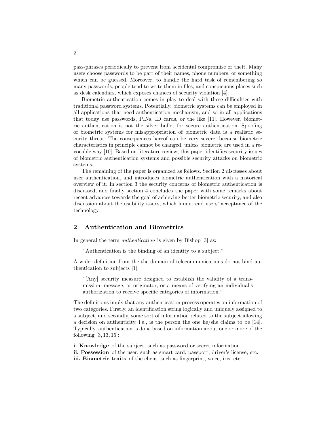pass-phrases periodically to prevent from accidental compromise or theft. Many users choose passwords to be part of their names, phone numbers, or something which can be guessed. Moreover, to handle the hard task of remembering so many passwords, people tend to write them in files, and conspicuous places such as desk calendars, which exposes chances of security violation [4].

Biometric authentication comes in play to deal with these difficulties with traditional password systems. Potentially, biometric systems can be employed in all applications that need authentication mechanism, and so in all applications that today use passwords, PINs, ID cards, or the like [11]. However, biometric authentication is not the silver bullet for secure authentication. Spoofing of biometric systems for misappropriation of biometric data is a realistic security threat. The consequences hereof can be very severe, because biometric characteristics in principle cannot be changed, unless biometric are used in a revocable way [10]. Based on literature review, this paper identifies security issues of biometric authentication systems and possible security attacks on biometric systems.

The remaining of the paper is organized as follows. Section 2 discusses about user authentication, and introduces biometric authentication with a historical overview of it. In section 3 the security concerns of biometric authentication is discussed, and finally section 4 concludes the paper with some remarks about recent advances towards the goal of achieving better biometric security, and also discussion about the usability issues, which hinder end users' acceptance of the technology.

#### 2 Authentication and Biometrics

In general the term *authentication* is given by Bishop [3] as:

"Authentication is the binding of an identity to a subject."

A wider definition from the the domain of telecommunications do not bind authentication to subjects [1]:

"[Any] security measure designed to establish the validity of a transmission, message, or originator, or a means of verifying an individual's authorization to receive specific categories of information."

The definitions imply that any authentication process operates on information of two categories. Firstly, an identification string logically and uniquely assigned to a subject, and secondly, some sort of information related to the subject allowing a decision on authenticity, i.e., is the person the one he/she claims to be [14]. Typically, authentication is done based on information about one or more of the following  $[3, 13, 15]$ :

i. Knowledge of the subject, such as password or secret information.

ii. Possession of the user, such as smart card, passport, driver's license, etc.

iii. Biometric traits of the client, such as fingerprint, voice, iris, etc.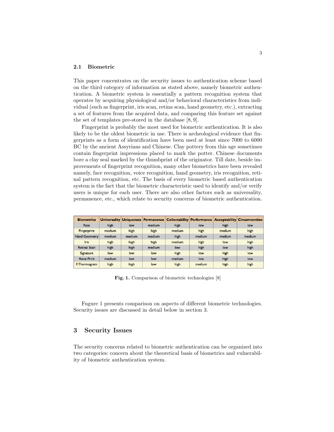#### 2.1 Biometric

This paper concentrates on the security issues to authentication scheme based on the third category of information as stated above, namely biometric authentication. A biometric system is essentially a pattern recognition system that operates by acquiring physiological and/or behavioral characteristics from individual (such as fingerprint, iris scan, retina scan, hand geometry, etc.), extracting a set of features from the acquired data, and comparing this feature set against the set of templates pre-stored in the database [8, 9].

Fingerprint is probably the most used for biometric authentication. It is also likely to be the oldest biometric in use. There is archeological evidence that fingerprints as a form of identification have been used at least since 7000 to 6000 BC by the ancient Assyrians and Chinese. Clay pottery from this age sometimes contain fingerprint impressions placed to mark the potter. Chinese documents bore a clay seal marked by the thumbprint of the originator. Till date, beside improvements of fingerprint recognition, many other biometrics have been revealed namely, face recognition, voice recognition, hand geometry, iris recognition, retinal pattern recognition, etc. The basis of every biometric based authentication system is the fact that the biometric characteristic used to identify and/or verify users is unique for each user. There are also other factors such as universality, permanence, etc., which relate to security concerns of biometric authentication.

| <b>Biometrics</b>    |        |        | Universality   Uniqueness   Permanence | Collectability Performance |        |        | <b>Acceptability Circumvention</b> |
|----------------------|--------|--------|----------------------------------------|----------------------------|--------|--------|------------------------------------|
| Face                 | high   | low    | medium                                 | high                       | low    | high   | low                                |
| Fingerprint          | medium | high   | high                                   | medium                     | high   | medium | high                               |
| <b>Hand Geometry</b> | medium | medium | medium                                 | high                       | medium | medium | medium                             |
| <b>Iris</b>          | high   | high   | high                                   | medium                     | high   | low    | high                               |
| <b>Retinal Scan</b>  | high   | high   | medium                                 | low                        | high   | low    | high                               |
| <b>Signature</b>     | low    | low    | low                                    | high                       | low    | high   | low                                |
| <b>Voice Print</b>   | medium | low    | low                                    | medium                     | low    | high   | low                                |
| F. Thermogram        | high   | high   | low                                    | high                       | medium | high   | high                               |

Fig. 1. Comparison of biometric technologies [8]

Fugure 1 presents comparison on aspects of different biometric technologies. Security issues are discussed in detail below in section 3.

## 3 Security Issues

The security concerns related to biometric authentication can be organized into two categories: concern about the theoretical basis of biometrics and vulnerability of biometric authentication system.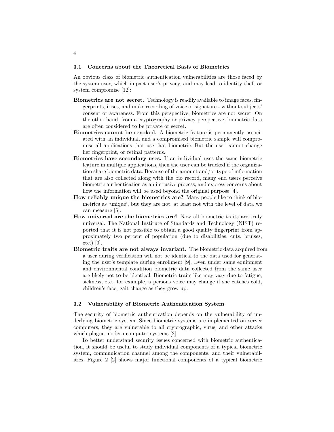#### 3.1 Concerns about the Theoretical Basis of Biometrics

An obvious class of biometric authentication vulnerabilities are those faced by the system user, which impact user's privacy, and may lead to identity theft or system compromise [12]:

- Biometrics are not secret. Technology is readily available to image faces. fingerprints, irises, and make recording of voice or signature - without subjects' consent or awareness. From this perspective, biometrics are not secret. On the other hand, from a cryptography or privacy perspective, biometric data are often considered to be private or secret.
- Biometrics cannot be revoked. A biometric feature is permanently associated with an individual, and a compromised biometric sample will compromise all applications that use that biometric. But the user cannot change her fingerprint, or retinal patterns.
- Biometrics have secondary uses. If an individual uses the same biometric feature in multiple applications, then the user can be tracked if the organization share biometric data. Because of the amount and/or type of information that are also collected along with the bio record, many end users perceive biometric authentication as an intrusive process, and express concerns about how the information will be used beyond the original purpose [4].
- How reliably unique the biometrics are? Many people like to think of biometrics as 'unique', but they are not, at least not with the level of data we can measure [5].
- How universal are the biometrics are? Now all biometric traits are truly universal. The National Institute of Standards and Technology (NIST) reported that it is not possible to obtain a good quality fingerprint from approximately two percent of population (due to disabilities, cuts, bruises, etc.) [9].
- Biometric traits are not always invariant. The biometric data acquired from a user during verification will not be identical to the data used for generating the user's template during enrollment [9]. Even under same equipment and environmental condition biometric data collected from the same user are likely not to be identical. Biometric traits like may vary due to fatigue, sickness, etc., for example, a persons voice may change if she catches cold, children's face, gait change as they grow up.

#### 3.2 Vulnerability of Biometric Authentication System

The security of biometric authentication depends on the vulnerability of underlying biometric system. Since biometric systems are implemented on server computers, they are vulnerable to all cryptographic, virus, and other attacks which plague modern computer systems [2].

To better understand security issues concerned with biometric authentication, it should be useful to study individual components of a typical biometric system, communication channel among the components, and their vulnerabilities. Figure 2 [2] shows major functional components of a typical biometric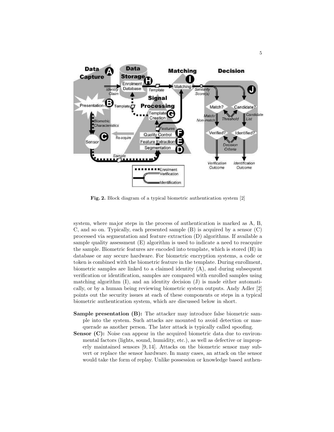

Fig. 2. Block diagram of a typical biometric authentication system [2]

system, where major steps in the process of authentication is marked as A, B, C, and so on. Typically, each presented sample (B) is acquired by a sensor (C) processed via segmentation and feature extraction (D) algorithms. If available a sample quality assessment (E) algorithm is used to indicate a need to reacquire the sample. Biometric features are encoded into template, which is stored (H) in database or any secure hardware. For biometric encryption systems, a code or token is combined with the biometric feature in the template. During enrollment, biometric samples are linked to a claimed identity  $(A)$ , and during subsequent verification or identification, samples are compared with enrolled samples using matching algorithm (I), and an identity decision (J) is made either automatically, or by a human being reviewing biometric system outputs. Andy Adler [2] points out the security issues at each of these components or steps in a typical biometric authentication system, which are discussed below in short.

- Sample presentation (B): The attacker may introduce false biometric sample into the system. Such attacks are mounted to avoid detection or masquerade as another person. The later attack is typically called spoofing.
- Sensor (C): Noise can appear in the acquired biometric data due to environmental factors (lights, sound, humidity, etc.), as well as defective or improperly maintained sensors [9, 14]. Attacks on the biometric sensor may subvert or replace the sensor hardware. In many cases, an attack on the sensor would take the form of replay. Unlike possession or knowledge based authen-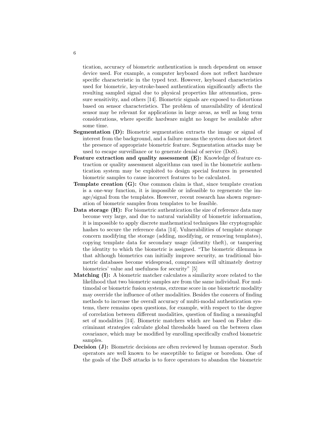tication, accuracy of biometric authentication is much dependent on sensor device used. For example, a computer keyboard does not reflect hardware specific characteristic in the typed text. However, keyboard characteristics used for biometric, key-stroke-based authentication significantly affects the resulting sampled signal due to physical properties like attenuation, pressure sensitivity, and others [14]. Biometric signals are exposed to distortions based on sensor characteristics. The problem of unavailability of identical sensor may be relevant for applications in large areas, as well as long term considerations, where specific hardware might no longer be available after some time.

- Segmentation (D): Biometric segmentation extracts the image or signal of interest from the background, and a failure means the system does not detect the presence of appropriate biometric feature. Segmentation attacks may be used to escape surveillance or to generate denial of service (DoS).
- Feature extraction and quality assessment (E): Knowledge of feature extraction or quality assessment algorithms can used in the biometric authentication system may be exploited to design special features in presented biometric samples to cause incorrect features to be calculated.
- Template creation (G): One common claim is that, since template creation is a one-way function, it is impossible or infeasible to regenerate the image/signal from the templates. However, recent research has shown regeneration of biometric samples from templates to be feasible.
- Data storage (H): For biometric authentication the size of reference data may become very large, and due to natural variability of biometric information, it is impossible to apply discrete mathematical techniques like cryptographic hashes to secure the reference data [14]. Vulnerabilities of template storage concern modifying the storage (adding, modifying, or removing templates), copying template data for secondary usage (identity theft), or tampering the identity to which the biometric is assigned. "The biometric dilemma is that although biometrics can initially improve security, as traditional biometric databases become widespread, compromises will ultimately destroy biometrics' value and usefulness for security" [5]
- Matching (I): A biometric matcher calculates a similarity score related to the likelihood that two biometric samples are from the same individual. For multimodal or biometric fusion systems, extreme score in one biometric modality may override the influence of other modalities. Besides the concern of finding methods to increase the overall accuracy of multi-modal authentication systems, there remains open questions, for example, with respect to the degree of correlation between different modalities, question of finding a meaningful set of modalities [14]. Biometric matchers which are based on Fisher discriminant strategies calculate global thresholds based on the between class covariance, which may be modified by enrolling specifically crafted biometric samples.
- **Decision (J):** Biometric decisions are often reviewed by human operator. Such operators are well known to be susceptible to fatigue or boredom. One of the goals of the DoS attacks is to force operators to abandon the biometric

6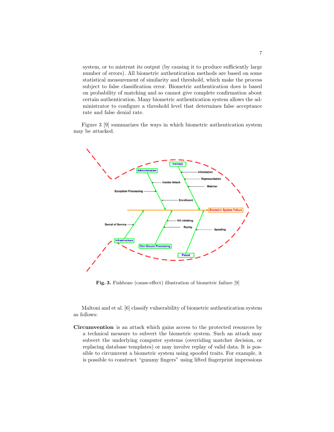system, or to mistrust its output (by causing it to produce sufficiently large number of errors). All biometric authentication methods are based on some statistical measurement of similarity and threshold, which make the process subject to false classification error. Biometric authentication does is based on probability of matching and so cannot give complete confirmation about certain authentication. Many biometric authentication system allows the administrator to configure a threshold level that determines false acceptance rate and false denial rate.

Figure 3 [9] summarizes the ways in which biometric authentication system may be attacked.



Fig. 3. Fishbone (cause-effect) illustration of biometric failure [9]

Maltoni and et al. [6] classify vulnerability of biometric authentication system as follows:

Circumvention is an attack which gains access to the protected resources by a technical measure to subvert the biometric system. Such an attack may subvert the underlying computer systems (overriding matcher decision, or replacing database templates) or may involve replay of valid data. It is possible to circumvent a biometric system using spoofed traits. For example, it is possible to construct "gummy fingers" using lifted fingerprint impressions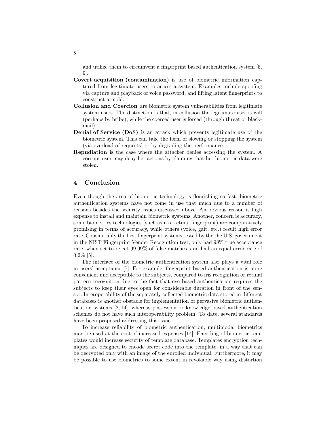and utilize them to circumvent a fingerprint based authentication system [5, 9].

- Covert acquisition (contamination) is use of biometric information captured from legitimate users to access a system. Examples include spoofing via capture and playback of voice password, and lifting latent fingerprints to construct a mold.
- Collusion and Coercion are biometric system vulnerabilities from legitimate system users. The distinction is that, in collusion the legitimate user is will (perhaps by bribe), while the coerced user is forced (through threat or blackmail).
- Denial of Service (DoS) is an attack which prevents legitimate use of the biometric system. This can take the form of slowing or stopping the system (via overload of requests) or by degrading the performance.
- Repudiation is the case where the attacker denies accessing the system. A corrupt user may deny her actions by claiming that her biometric data were stolen.

#### 4 Conclusion

Even though the area of biometric technology is flourishing so fast, biometric authentication systems have not come in use that much due to a number of reasons besides the security issues discussed above. An obvious reason is high expense to install and maintain biometric systems. Another, concern is accuracy, some biometrics technologies (such as iris, retina, fingerprint) are comparatively promising in terms of accuracy, while others (voice, gait, etc.) result high error rate. Considerably the best fingerprint systems tested by the the U.S. government in the NIST Fingerprint Vender Recognition test, only had 98% true acceptance rate, when set to reject 99.99% of false matches, and had an equal error rate of 0.2% [5].

The interface of the biometric authentication system also plays a vital role in users' acceptance [7]. For example, fingerprint based authentication is more convenient and acceptable to the subjects, compared to iris recognition or retinal pattern recognition due to the fact that eye based authentication requires the subjects to keep their eyes open for considerable duration in front of the sensor. Interoperability of the separately collected biometric data stored in different databases is another obstacle for implementation of pervasive biometric authentication systems [2, 14], whereas possession or knowledge based authentication schemes do not have such interoperability problem. To date, several standards have been proposed addressing this issue.

To increase reliability of biometric authentication, multimodal biometrics may be used at the cost of increased expenses [14]. Encoding of biometric templates would increase security of template database. Templates encryption techniques are designed to encode secret code into the template, in a way that can be decrypted only with an image of the enrolled individual. Furthermore, it may be possible to use biometrics to some extent in revokable way using distortion